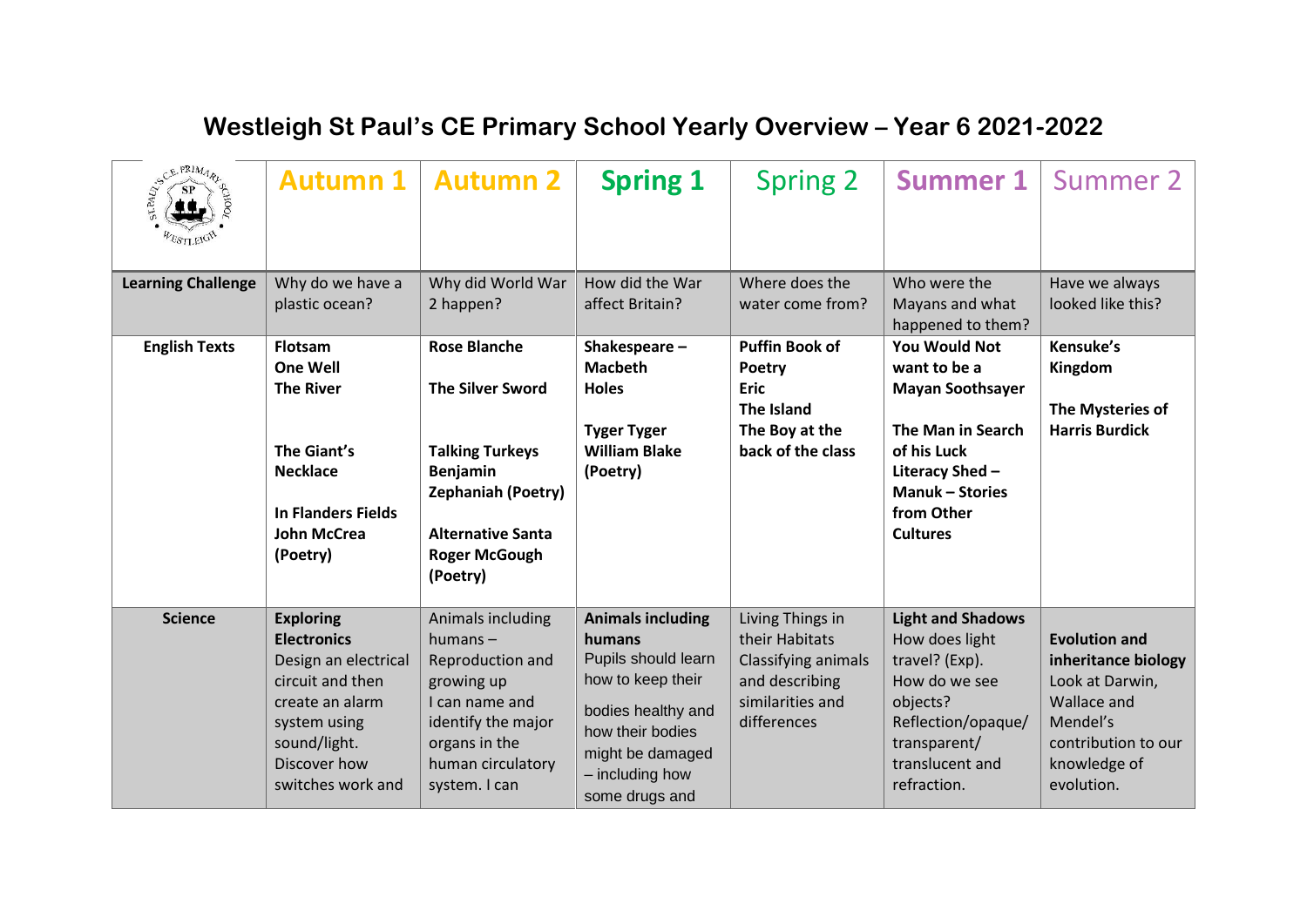| CE PRIMARY<br><b>WESTLEIGN</b> | <b>Autumn 1</b>                                                                                                                                                            | <b>Autumn 2</b>                                                                                                                                                                          | <b>Spring 1</b>                                                                                                                                                                   | <b>Spring 2</b>                                                                                                | <b>Summer 1</b>                                                                                                                                                                         | Summer 2                                                                                                                                              |
|--------------------------------|----------------------------------------------------------------------------------------------------------------------------------------------------------------------------|------------------------------------------------------------------------------------------------------------------------------------------------------------------------------------------|-----------------------------------------------------------------------------------------------------------------------------------------------------------------------------------|----------------------------------------------------------------------------------------------------------------|-----------------------------------------------------------------------------------------------------------------------------------------------------------------------------------------|-------------------------------------------------------------------------------------------------------------------------------------------------------|
| <b>Learning Challenge</b>      | Why do we have a<br>plastic ocean?                                                                                                                                         | Why did World War<br>2 happen?                                                                                                                                                           | How did the War<br>affect Britain?                                                                                                                                                | Where does the<br>water come from?                                                                             | Who were the<br>Mayans and what<br>happened to them?                                                                                                                                    | Have we always<br>looked like this?                                                                                                                   |
| <b>English Texts</b>           | <b>Flotsam</b><br><b>One Well</b><br><b>The River</b><br>The Giant's<br><b>Necklace</b><br><b>In Flanders Fields</b><br><b>John McCrea</b><br>(Poetry)                     | <b>Rose Blanche</b><br><b>The Silver Sword</b><br><b>Talking Turkeys</b><br><b>Benjamin</b><br><b>Zephaniah (Poetry)</b><br><b>Alternative Santa</b><br><b>Roger McGough</b><br>(Poetry) | Shakespeare-<br><b>Macbeth</b><br><b>Holes</b><br><b>Tyger Tyger</b><br><b>William Blake</b><br>(Poetry)                                                                          | <b>Puffin Book of</b><br>Poetry<br><b>Eric</b><br><b>The Island</b><br>The Boy at the<br>back of the class     | <b>You Would Not</b><br>want to be a<br><b>Mayan Soothsayer</b><br><b>The Man in Search</b><br>of his Luck<br>Literacy Shed-<br><b>Manuk - Stories</b><br>from Other<br><b>Cultures</b> | Kensuke's<br>Kingdom<br>The Mysteries of<br><b>Harris Burdick</b>                                                                                     |
| <b>Science</b>                 | <b>Exploring</b><br><b>Electronics</b><br>Design an electrical<br>circuit and then<br>create an alarm<br>system using<br>sound/light.<br>Discover how<br>switches work and | Animals including<br>humans $-$<br>Reproduction and<br>growing up<br>I can name and<br>identify the major<br>organs in the<br>human circulatory<br>system. I can                         | <b>Animals including</b><br>humans<br>Pupils should learn<br>how to keep their<br>bodies healthy and<br>how their bodies<br>might be damaged<br>- including how<br>some drugs and | Living Things in<br>their Habitats<br>Classifying animals<br>and describing<br>similarities and<br>differences | <b>Light and Shadows</b><br>How does light<br>travel? (Exp).<br>How do we see<br>objects?<br>Reflection/opaque/<br>transparent/<br>translucent and<br>refraction.                       | <b>Evolution and</b><br>inheritance biology<br>Look at Darwin,<br><b>Wallace and</b><br>Mendel's<br>contribution to our<br>knowledge of<br>evolution. |

## **Westleigh St Paul's CE Primary School Yearly Overview – Year 6 2021-2022**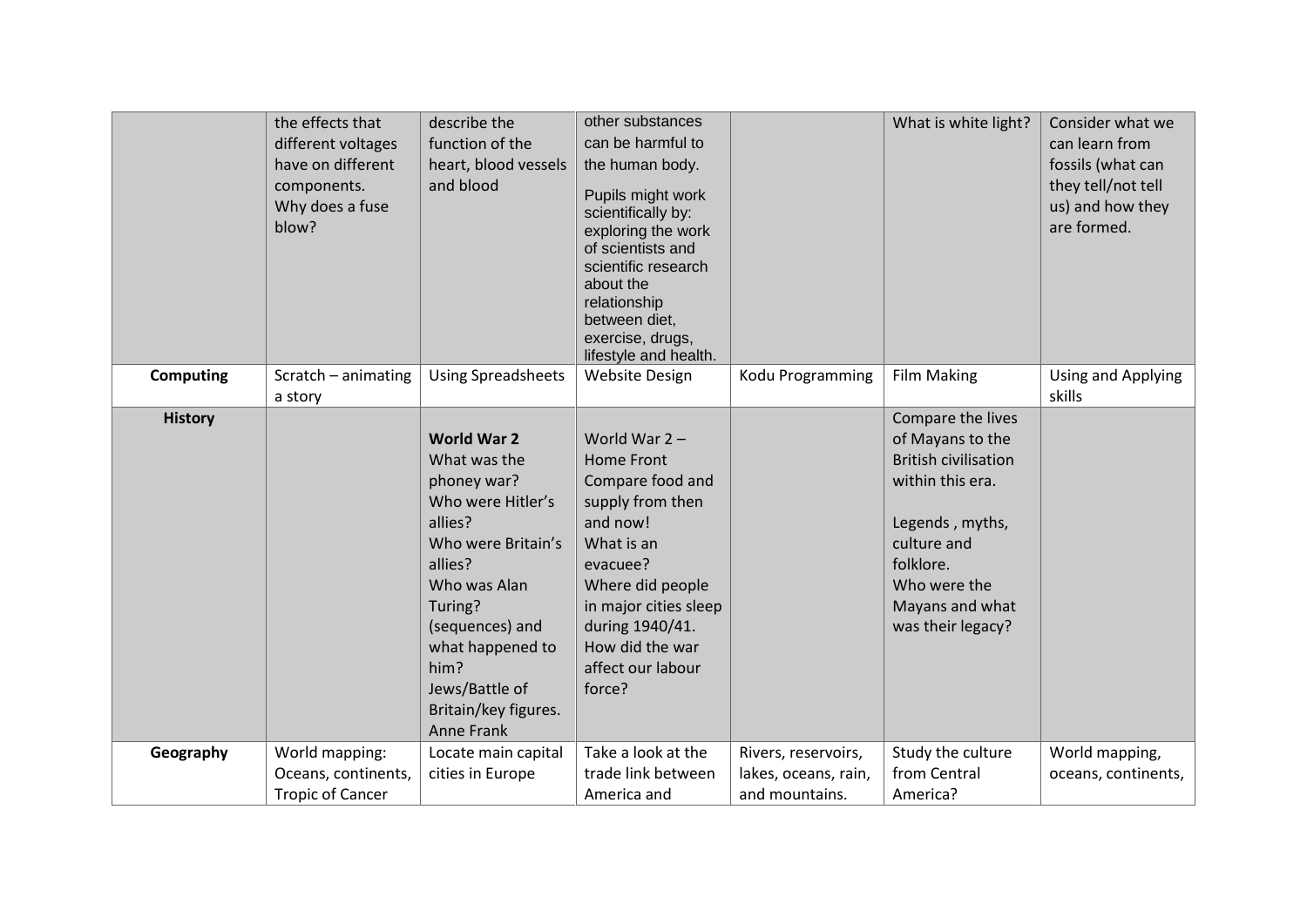|                  | the effects that<br>different voltages<br>have on different<br>components.<br>Why does a fuse<br>blow? | describe the<br>function of the<br>heart, blood vessels<br>and blood                                                                                                                                                                                        | other substances<br>can be harmful to<br>the human body.<br>Pupils might work<br>scientifically by:<br>exploring the work<br>of scientists and<br>scientific research<br>about the<br>relationship<br>between diet,<br>exercise, drugs,<br>lifestyle and health. |                                             | What is white light?                                                                                                                                                                            | Consider what we<br>can learn from<br>fossils (what can<br>they tell/not tell<br>us) and how they<br>are formed. |
|------------------|--------------------------------------------------------------------------------------------------------|-------------------------------------------------------------------------------------------------------------------------------------------------------------------------------------------------------------------------------------------------------------|------------------------------------------------------------------------------------------------------------------------------------------------------------------------------------------------------------------------------------------------------------------|---------------------------------------------|-------------------------------------------------------------------------------------------------------------------------------------------------------------------------------------------------|------------------------------------------------------------------------------------------------------------------|
| <b>Computing</b> | Scratch - animating<br>a story                                                                         | <b>Using Spreadsheets</b>                                                                                                                                                                                                                                   | <b>Website Design</b>                                                                                                                                                                                                                                            | Kodu Programming                            | <b>Film Making</b>                                                                                                                                                                              | Using and Applying<br>skills                                                                                     |
| <b>History</b>   |                                                                                                        | <b>World War 2</b><br>What was the<br>phoney war?<br>Who were Hitler's<br>allies?<br>Who were Britain's<br>allies?<br>Who was Alan<br>Turing?<br>(sequences) and<br>what happened to<br>him?<br>Jews/Battle of<br>Britain/key figures.<br><b>Anne Frank</b> | World War $2 -$<br><b>Home Front</b><br>Compare food and<br>supply from then<br>and now!<br>What is an<br>evacuee?<br>Where did people<br>in major cities sleep<br>during 1940/41.<br>How did the war<br>affect our labour<br>force?                             |                                             | Compare the lives<br>of Mayans to the<br><b>British civilisation</b><br>within this era.<br>Legends, myths,<br>culture and<br>folklore.<br>Who were the<br>Mayans and what<br>was their legacy? |                                                                                                                  |
| Geography        | World mapping:<br>Oceans, continents,                                                                  | Locate main capital<br>cities in Europe                                                                                                                                                                                                                     | Take a look at the<br>trade link between                                                                                                                                                                                                                         | Rivers, reservoirs,<br>lakes, oceans, rain, | Study the culture<br>from Central                                                                                                                                                               | World mapping,<br>oceans, continents,                                                                            |
|                  | <b>Tropic of Cancer</b>                                                                                |                                                                                                                                                                                                                                                             | America and                                                                                                                                                                                                                                                      | and mountains.                              | America?                                                                                                                                                                                        |                                                                                                                  |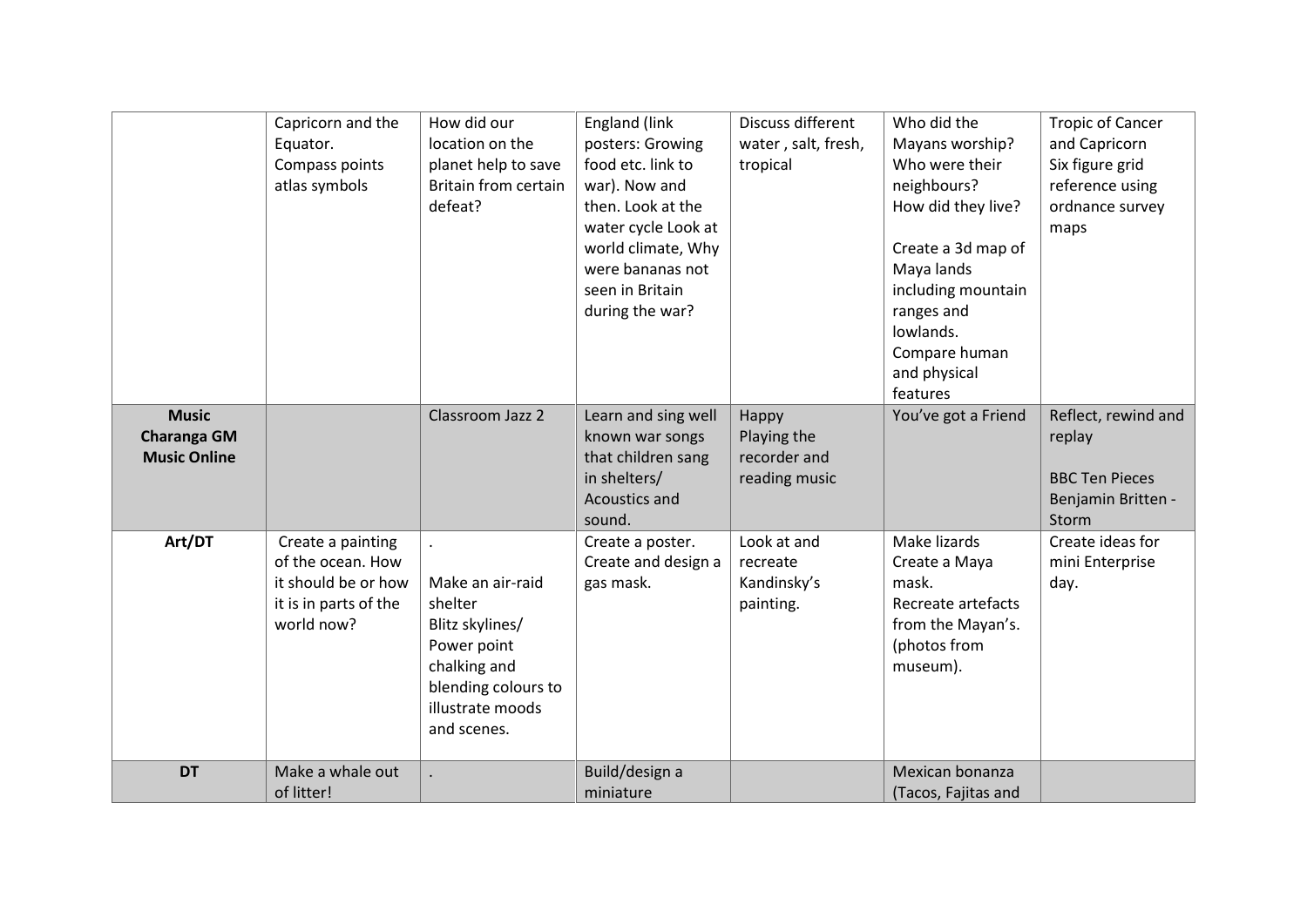|                                                           | Capricorn and the<br>Equator.<br>Compass points<br>atlas symbols                                     | How did our<br>location on the<br>planet help to save<br><b>Britain from certain</b><br>defeat?                                         | England (link<br>posters: Growing<br>food etc. link to<br>war). Now and<br>then. Look at the<br>water cycle Look at<br>world climate, Why<br>were bananas not<br>seen in Britain | Discuss different<br>water, salt, fresh,<br>tropical  | Who did the<br>Mayans worship?<br>Who were their<br>neighbours?<br>How did they live?<br>Create a 3d map of<br>Maya lands<br>including mountain | <b>Tropic of Cancer</b><br>and Capricorn<br>Six figure grid<br>reference using<br>ordnance survey<br>maps |
|-----------------------------------------------------------|------------------------------------------------------------------------------------------------------|-----------------------------------------------------------------------------------------------------------------------------------------|----------------------------------------------------------------------------------------------------------------------------------------------------------------------------------|-------------------------------------------------------|-------------------------------------------------------------------------------------------------------------------------------------------------|-----------------------------------------------------------------------------------------------------------|
|                                                           |                                                                                                      |                                                                                                                                         | during the war?                                                                                                                                                                  |                                                       | ranges and<br>lowlands.<br>Compare human<br>and physical<br>features                                                                            |                                                                                                           |
| <b>Music</b><br><b>Charanga GM</b><br><b>Music Online</b> |                                                                                                      | Classroom Jazz 2                                                                                                                        | Learn and sing well<br>known war songs<br>that children sang<br>in shelters/<br>Acoustics and<br>sound.                                                                          | Happy<br>Playing the<br>recorder and<br>reading music | You've got a Friend                                                                                                                             | Reflect, rewind and<br>replay<br><b>BBC Ten Pieces</b><br>Benjamin Britten -<br>Storm                     |
| Art/DT                                                    | Create a painting<br>of the ocean. How<br>it should be or how<br>it is in parts of the<br>world now? | Make an air-raid<br>shelter<br>Blitz skylines/<br>Power point<br>chalking and<br>blending colours to<br>illustrate moods<br>and scenes. | Create a poster.<br>Create and design a<br>gas mask.                                                                                                                             | Look at and<br>recreate<br>Kandinsky's<br>painting.   | Make lizards<br>Create a Maya<br>mask.<br>Recreate artefacts<br>from the Mayan's.<br>(photos from<br>museum).                                   | Create ideas for<br>mini Enterprise<br>day.                                                               |
| <b>DT</b>                                                 | Make a whale out<br>of litter!                                                                       |                                                                                                                                         | Build/design a<br>miniature                                                                                                                                                      |                                                       | Mexican bonanza<br>(Tacos, Fajitas and                                                                                                          |                                                                                                           |